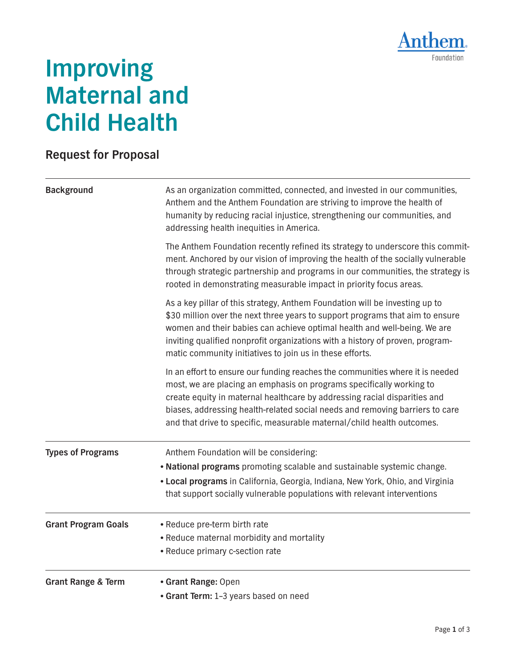

## **Improving Maternal and Child Health**

## **Request for Proposal**

| <b>Background</b>             | As an organization committed, connected, and invested in our communities,<br>Anthem and the Anthem Foundation are striving to improve the health of<br>humanity by reducing racial injustice, strengthening our communities, and<br>addressing health inequities in America.                                                                                                                                                                                                                                                                                                                                                                                                                                       |
|-------------------------------|--------------------------------------------------------------------------------------------------------------------------------------------------------------------------------------------------------------------------------------------------------------------------------------------------------------------------------------------------------------------------------------------------------------------------------------------------------------------------------------------------------------------------------------------------------------------------------------------------------------------------------------------------------------------------------------------------------------------|
|                               | The Anthem Foundation recently refined its strategy to underscore this commit-<br>ment. Anchored by our vision of improving the health of the socially vulnerable<br>through strategic partnership and programs in our communities, the strategy is<br>rooted in demonstrating measurable impact in priority focus areas.<br>As a key pillar of this strategy, Anthem Foundation will be investing up to<br>\$30 million over the next three years to support programs that aim to ensure<br>women and their babies can achieve optimal health and well-being. We are<br>inviting qualified nonprofit organizations with a history of proven, program-<br>matic community initiatives to join us in these efforts. |
|                               |                                                                                                                                                                                                                                                                                                                                                                                                                                                                                                                                                                                                                                                                                                                    |
|                               | <b>Types of Programs</b>                                                                                                                                                                                                                                                                                                                                                                                                                                                                                                                                                                                                                                                                                           |
| <b>Grant Program Goals</b>    | • Reduce pre-term birth rate<br>• Reduce maternal morbidity and mortality<br>• Reduce primary c-section rate                                                                                                                                                                                                                                                                                                                                                                                                                                                                                                                                                                                                       |
| <b>Grant Range &amp; Term</b> | • Grant Range: Open<br>• Grant Term: 1-3 years based on need                                                                                                                                                                                                                                                                                                                                                                                                                                                                                                                                                                                                                                                       |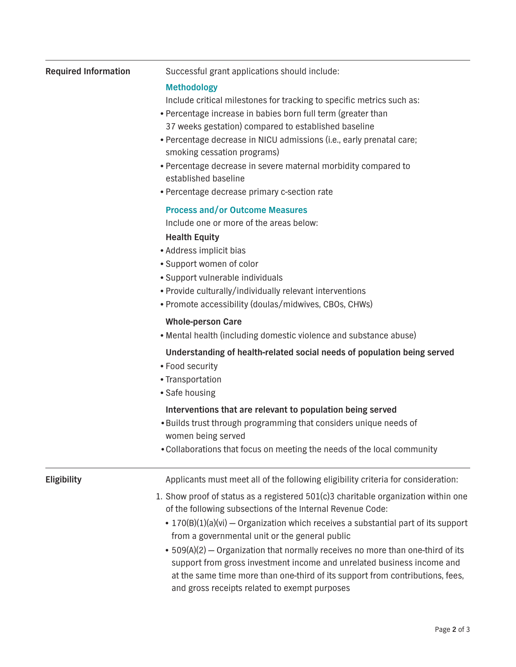| <b>Required Information</b> | Successful grant applications should include:<br><b>Methodology</b><br>Include critical milestones for tracking to specific metrics such as:<br>• Percentage increase in babies born full term (greater than<br>37 weeks gestation) compared to established baseline                                                                                                                                                                                                                                                                                                                    |
|-----------------------------|-----------------------------------------------------------------------------------------------------------------------------------------------------------------------------------------------------------------------------------------------------------------------------------------------------------------------------------------------------------------------------------------------------------------------------------------------------------------------------------------------------------------------------------------------------------------------------------------|
|                             | • Percentage decrease in NICU admissions (i.e., early prenatal care;<br>smoking cessation programs)<br>• Percentage decrease in severe maternal morbidity compared to<br>established baseline                                                                                                                                                                                                                                                                                                                                                                                           |
|                             | • Percentage decrease primary c-section rate                                                                                                                                                                                                                                                                                                                                                                                                                                                                                                                                            |
|                             | <b>Process and/or Outcome Measures</b><br>Include one or more of the areas below:                                                                                                                                                                                                                                                                                                                                                                                                                                                                                                       |
|                             | <b>Health Equity</b><br>• Address implicit bias<br>• Support women of color<br>• Support vulnerable individuals<br>• Provide culturally/individually relevant interventions<br>• Promote accessibility (doulas/midwives, CBOs, CHWs)                                                                                                                                                                                                                                                                                                                                                    |
|                             | <b>Whole-person Care</b><br>• Mental health (including domestic violence and substance abuse)                                                                                                                                                                                                                                                                                                                                                                                                                                                                                           |
|                             | Understanding of health-related social needs of population being served<br>• Food security<br>• Transportation<br>• Safe housing                                                                                                                                                                                                                                                                                                                                                                                                                                                        |
|                             | Interventions that are relevant to population being served<br>. Builds trust through programming that considers unique needs of<br>women being served<br>. Collaborations that focus on meeting the needs of the local community                                                                                                                                                                                                                                                                                                                                                        |
| Eligibility                 | Applicants must meet all of the following eligibility criteria for consideration:                                                                                                                                                                                                                                                                                                                                                                                                                                                                                                       |
|                             | 1. Show proof of status as a registered 501(c)3 charitable organization within one<br>of the following subsections of the Internal Revenue Code:<br>• 170(B)(1)(a)(vi) – Organization which receives a substantial part of its support<br>from a governmental unit or the general public<br>• 509(A)(2) - Organization that normally receives no more than one-third of its<br>support from gross investment income and unrelated business income and<br>at the same time more than one-third of its support from contributions, fees,<br>and gross receipts related to exempt purposes |